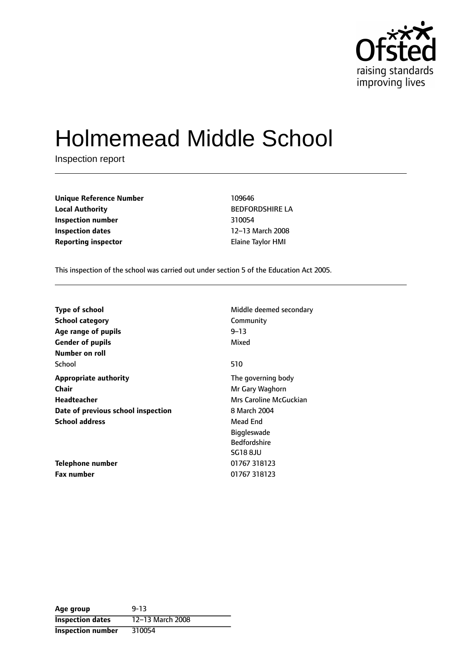

# Holmemead Middle School

Inspection report

| Unique Reference Number    | 109646                |
|----------------------------|-----------------------|
| <b>Local Authority</b>     | <b>BEDFORDSHIRE L</b> |
| Inspection number          | 310054                |
| <b>Inspection dates</b>    | 12-13 March 2008      |
| <b>Reporting inspector</b> | Elaine Taylor HMI     |

**Unique Reference Number** 109646 **BEDFORDSHIRE LA Inspection number** 310054 12-13 March 2008

This inspection of the school was carried out under section 5 of the Education Act 2005.

| <b>Type of school</b><br><b>School category</b><br>Age range of pupils | Middle deemed secondary<br>Community<br>$9 - 13$ |
|------------------------------------------------------------------------|--------------------------------------------------|
| <b>Gender of pupils</b>                                                | Mixed                                            |
| Number on roll                                                         |                                                  |
| School                                                                 | 510                                              |
| <b>Appropriate authority</b>                                           | The governing body                               |
| <b>Chair</b>                                                           | Mr Gary Waghorn                                  |
| Headteacher                                                            | Mrs Caroline McGuckian                           |
| Date of previous school inspection                                     | 8 March 2004                                     |
| <b>School address</b>                                                  | Mead End                                         |
|                                                                        | <b>Biggleswade</b>                               |
|                                                                        | <b>Bedfordshire</b>                              |
|                                                                        | <b>SG18 8JU</b>                                  |
| Telephone number                                                       | 01767 318123                                     |
| <b>Fax number</b>                                                      | 01767 318123                                     |

| Age group                | $9 - 13$         |
|--------------------------|------------------|
| <b>Inspection dates</b>  | 12-13 March 2008 |
| <b>Inspection number</b> | 310054           |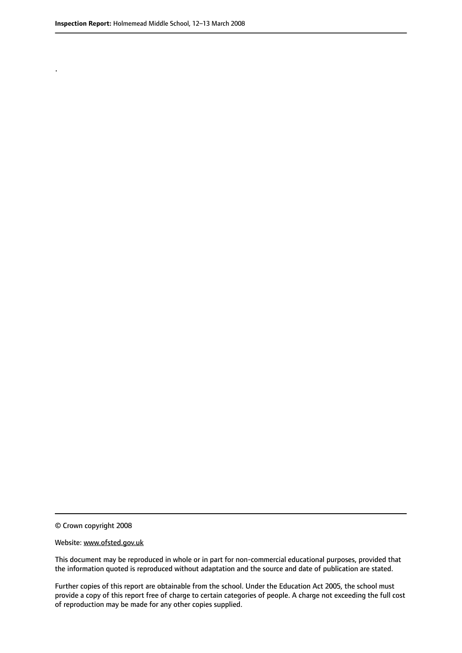.

© Crown copyright 2008

#### Website: www.ofsted.gov.uk

This document may be reproduced in whole or in part for non-commercial educational purposes, provided that the information quoted is reproduced without adaptation and the source and date of publication are stated.

Further copies of this report are obtainable from the school. Under the Education Act 2005, the school must provide a copy of this report free of charge to certain categories of people. A charge not exceeding the full cost of reproduction may be made for any other copies supplied.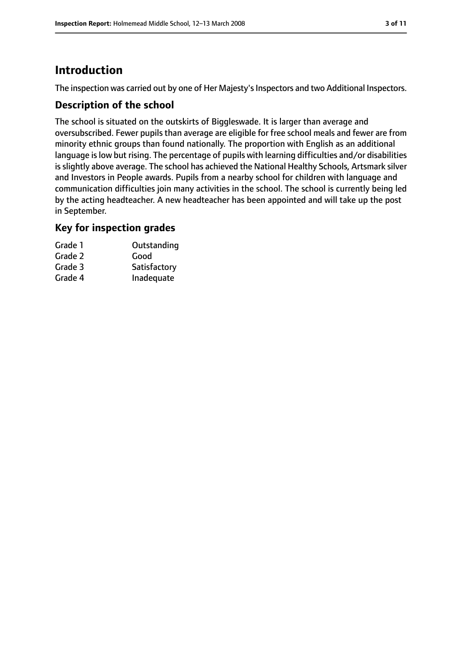### **Introduction**

The inspection was carried out by one of Her Majesty's Inspectors and two Additional Inspectors.

### **Description of the school**

The school is situated on the outskirts of Biggleswade. It is larger than average and oversubscribed. Fewer pupils than average are eligible for free school meals and fewer are from minority ethnic groups than found nationally. The proportion with English as an additional language is low but rising. The percentage of pupils with learning difficulties and/or disabilities is slightly above average. The school has achieved the National Healthy Schools, Artsmark silver and Investors in People awards. Pupils from a nearby school for children with language and communication difficulties join many activities in the school. The school is currently being led by the acting headteacher. A new headteacher has been appointed and will take up the post in September.

### **Key for inspection grades**

| Grade 1 | Outstanding  |
|---------|--------------|
| Grade 2 | Good         |
| Grade 3 | Satisfactory |
| Grade 4 | Inadequate   |
|         |              |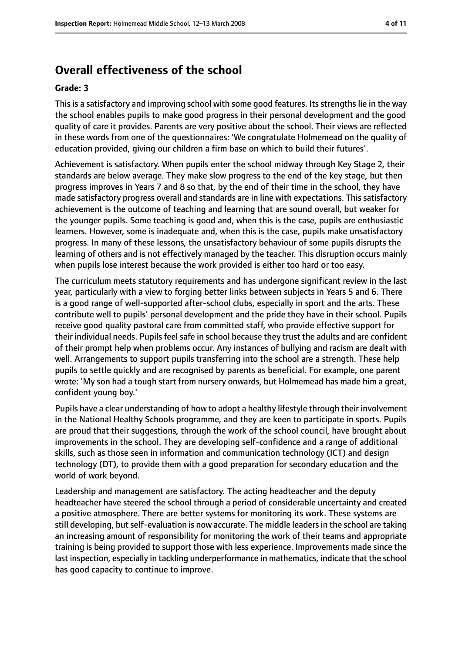### **Overall effectiveness of the school**

#### **Grade: 3**

This is a satisfactory and improving school with some good features. Its strengths lie in the way the school enables pupils to make good progress in their personal development and the good quality of care it provides. Parents are very positive about the school. Their views are reflected in these words from one of the questionnaires: 'We congratulate Holmemead on the quality of education provided, giving our children a firm base on which to build their futures'.

Achievement is satisfactory. When pupils enter the school midway through Key Stage 2, their standards are below average. They make slow progress to the end of the key stage, but then progress improves in Years 7 and 8 so that, by the end of their time in the school, they have made satisfactory progress overall and standards are in line with expectations. This satisfactory achievement is the outcome of teaching and learning that are sound overall, but weaker for the younger pupils. Some teaching is good and, when this is the case, pupils are enthusiastic learners. However, some is inadequate and, when this is the case, pupils make unsatisfactory progress. In many of these lessons, the unsatisfactory behaviour of some pupils disrupts the learning of others and is not effectively managed by the teacher. This disruption occurs mainly when pupils lose interest because the work provided is either too hard or too easy.

The curriculum meets statutory requirements and has undergone significant review in the last year, particularly with a view to forging better links between subjects in Years 5 and 6. There is a good range of well-supported after-school clubs, especially in sport and the arts. These contribute well to pupils' personal development and the pride they have in their school. Pupils receive good quality pastoral care from committed staff, who provide effective support for their individual needs. Pupils feel safe in school because they trust the adults and are confident of their prompt help when problems occur. Any instances of bullying and racism are dealt with well. Arrangements to support pupils transferring into the school are a strength. These help pupils to settle quickly and are recognised by parents as beneficial. For example, one parent wrote: 'My son had a tough start from nursery onwards, but Holmemead has made him a great, confident young boy.'

Pupils have a clear understanding of how to adopt a healthy lifestyle through their involvement in the National Healthy Schools programme, and they are keen to participate in sports. Pupils are proud that their suggestions, through the work of the school council, have brought about improvements in the school. They are developing self-confidence and a range of additional skills, such as those seen in information and communication technology (ICT) and design technology (DT), to provide them with a good preparation for secondary education and the world of work beyond.

Leadership and management are satisfactory. The acting headteacher and the deputy headteacher have steered the school through a period of considerable uncertainty and created a positive atmosphere. There are better systems for monitoring its work. These systems are still developing, but self-evaluation is now accurate. The middle leaders in the school are taking an increasing amount of responsibility for monitoring the work of their teams and appropriate training is being provided to support those with less experience. Improvements made since the last inspection, especially in tackling underperformance in mathematics, indicate that the school has good capacity to continue to improve.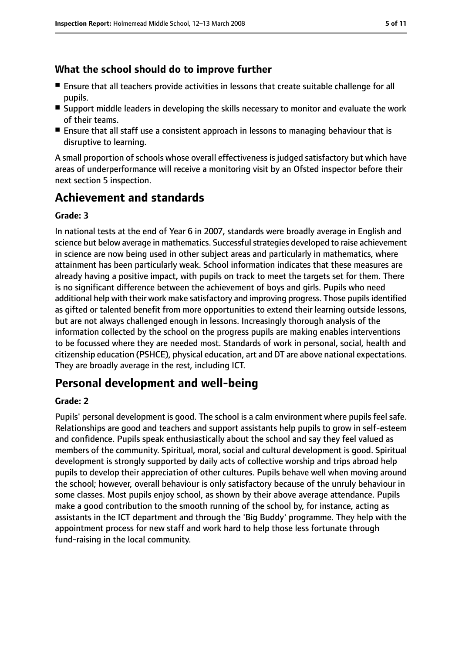### **What the school should do to improve further**

- Ensure that all teachers provide activities in lessons that create suitable challenge for all pupils.
- Support middle leaders in developing the skills necessary to monitor and evaluate the work of their teams.
- Ensure that all staff use a consistent approach in lessons to managing behaviour that is disruptive to learning.

A small proportion of schools whose overall effectiveness is judged satisfactory but which have areas of underperformance will receive a monitoring visit by an Ofsted inspector before their next section 5 inspection.

### **Achievement and standards**

#### **Grade: 3**

In national tests at the end of Year 6 in 2007, standards were broadly average in English and science but below average in mathematics. Successful strategies developed to raise achievement in science are now being used in other subject areas and particularly in mathematics, where attainment has been particularly weak. School information indicates that these measures are already having a positive impact, with pupils on track to meet the targets set for them. There is no significant difference between the achievement of boys and girls. Pupils who need additional help with their work make satisfactory and improving progress. Those pupils identified as gifted or talented benefit from more opportunities to extend their learning outside lessons, but are not always challenged enough in lessons. Increasingly thorough analysis of the information collected by the school on the progress pupils are making enables interventions to be focussed where they are needed most. Standards of work in personal, social, health and citizenship education (PSHCE), physical education, art and DT are above national expectations. They are broadly average in the rest, including ICT.

### **Personal development and well-being**

#### **Grade: 2**

Pupils' personal development is good. The school is a calm environment where pupils feel safe. Relationships are good and teachers and support assistants help pupils to grow in self-esteem and confidence. Pupils speak enthusiastically about the school and say they feel valued as members of the community. Spiritual, moral, social and cultural development is good. Spiritual development is strongly supported by daily acts of collective worship and trips abroad help pupils to develop their appreciation of other cultures. Pupils behave well when moving around the school; however, overall behaviour is only satisfactory because of the unruly behaviour in some classes. Most pupils enjoy school, as shown by their above average attendance. Pupils make a good contribution to the smooth running of the school by, for instance, acting as assistants in the ICT department and through the 'Big Buddy' programme. They help with the appointment process for new staff and work hard to help those less fortunate through fund-raising in the local community.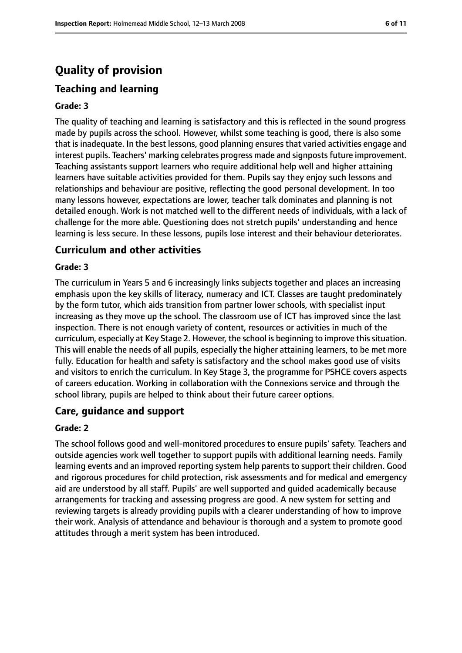### **Quality of provision**

### **Teaching and learning**

#### **Grade: 3**

The quality of teaching and learning is satisfactory and this is reflected in the sound progress made by pupils across the school. However, whilst some teaching is good, there is also some that is inadequate. In the best lessons, good planning ensures that varied activities engage and interest pupils. Teachers' marking celebrates progress made and signpostsfuture improvement. Teaching assistants support learners who require additional help well and higher attaining learners have suitable activities provided for them. Pupils say they enjoy such lessons and relationships and behaviour are positive, reflecting the good personal development. In too many lessons however, expectations are lower, teacher talk dominates and planning is not detailed enough. Work is not matched well to the different needs of individuals, with a lack of challenge for the more able. Questioning does not stretch pupils' understanding and hence learning is less secure. In these lessons, pupils lose interest and their behaviour deteriorates.

#### **Curriculum and other activities**

#### **Grade: 3**

The curriculum in Years 5 and 6 increasingly links subjects together and places an increasing emphasis upon the key skills of literacy, numeracy and ICT. Classes are taught predominately by the form tutor, which aids transition from partner lower schools, with specialist input increasing as they move up the school. The classroom use of ICT has improved since the last inspection. There is not enough variety of content, resources or activities in much of the curriculum, especially at Key Stage 2. However, the school is beginning to improve thissituation. This will enable the needs of all pupils, especially the higher attaining learners, to be met more fully. Education for health and safety is satisfactory and the school makes good use of visits and visitors to enrich the curriculum. In Key Stage 3, the programme for PSHCE covers aspects of careers education. Working in collaboration with the Connexions service and through the school library, pupils are helped to think about their future career options.

#### **Care, guidance and support**

#### **Grade: 2**

The school follows good and well-monitored procedures to ensure pupils' safety. Teachers and outside agencies work well together to support pupils with additional learning needs. Family learning events and an improved reporting system help parents to support their children. Good and rigorous procedures for child protection, risk assessments and for medical and emergency aid are understood by all staff. Pupils' are well supported and guided academically because arrangements for tracking and assessing progress are good. A new system for setting and reviewing targets is already providing pupils with a clearer understanding of how to improve their work. Analysis of attendance and behaviour is thorough and a system to promote good attitudes through a merit system has been introduced.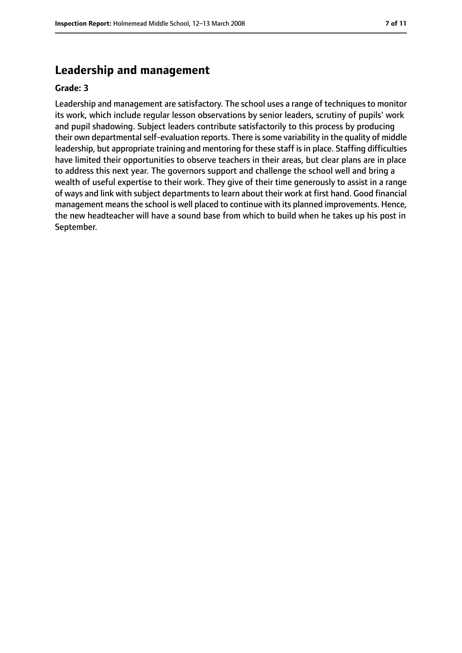### **Leadership and management**

#### **Grade: 3**

Leadership and management are satisfactory. The school uses a range of techniques to monitor its work, which include regular lesson observations by senior leaders, scrutiny of pupils' work and pupil shadowing. Subject leaders contribute satisfactorily to this process by producing their own departmental self-evaluation reports. There is some variability in the quality of middle leadership, but appropriate training and mentoring for these staff is in place. Staffing difficulties have limited their opportunities to observe teachers in their areas, but clear plans are in place to address this next year. The governors support and challenge the school well and bring a wealth of useful expertise to their work. They give of their time generously to assist in a range of ways and link with subject departments to learn about their work at first hand. Good financial management means the school is well placed to continue with its planned improvements. Hence, the new headteacher will have a sound base from which to build when he takes up his post in September.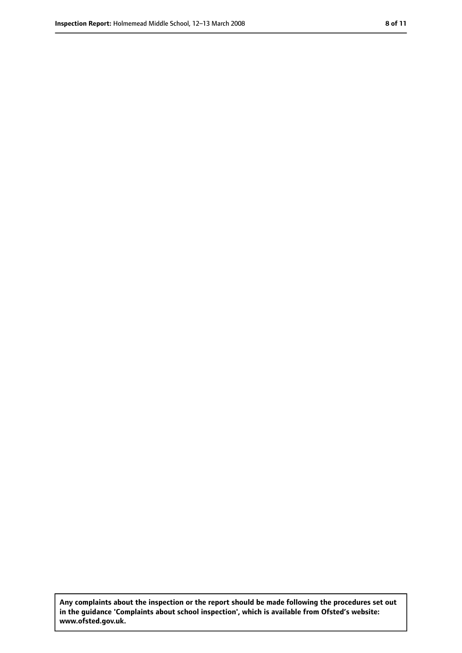**Any complaints about the inspection or the report should be made following the procedures set out in the guidance 'Complaints about school inspection', which is available from Ofsted's website: www.ofsted.gov.uk.**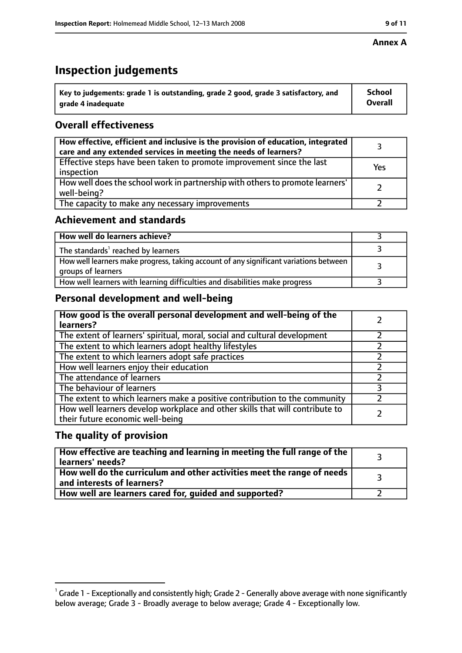#### **Annex A**

### **Inspection judgements**

| Key to judgements: grade 1 is outstanding, grade 2 good, grade 3 satisfactory, and | <b>School</b>  |
|------------------------------------------------------------------------------------|----------------|
| grade 4 inadequate                                                                 | <b>Overall</b> |

### **Overall effectiveness**

| How effective, efficient and inclusive is the provision of education, integrated<br>care and any extended services in meeting the needs of learners? |     |
|------------------------------------------------------------------------------------------------------------------------------------------------------|-----|
| Effective steps have been taken to promote improvement since the last<br>inspection                                                                  | Yes |
| How well does the school work in partnership with others to promote learners'<br>well-being?                                                         |     |
| The capacity to make any necessary improvements                                                                                                      |     |

### **Achievement and standards**

| How well do learners achieve?                                                                               |  |
|-------------------------------------------------------------------------------------------------------------|--|
| The standards <sup>1</sup> reached by learners                                                              |  |
| How well learners make progress, taking account of any significant variations between<br>groups of learners |  |
| How well learners with learning difficulties and disabilities make progress                                 |  |

### **Personal development and well-being**

| How good is the overall personal development and well-being of the<br>learners?                                  |  |
|------------------------------------------------------------------------------------------------------------------|--|
| The extent of learners' spiritual, moral, social and cultural development                                        |  |
| The extent to which learners adopt healthy lifestyles                                                            |  |
| The extent to which learners adopt safe practices                                                                |  |
| How well learners enjoy their education                                                                          |  |
| The attendance of learners                                                                                       |  |
| The behaviour of learners                                                                                        |  |
| The extent to which learners make a positive contribution to the community                                       |  |
| How well learners develop workplace and other skills that will contribute to<br>their future economic well-being |  |

### **The quality of provision**

| $\mid$ How effective are teaching and learning in meeting the full range of the $\mid$<br>learners' needs? |  |
|------------------------------------------------------------------------------------------------------------|--|
| How well do the curriculum and other activities meet the range of needs  <br>and interests of learners?    |  |
| How well are learners cared for, guided and supported?                                                     |  |

 $^1$  Grade 1 - Exceptionally and consistently high; Grade 2 - Generally above average with none significantly below average; Grade 3 - Broadly average to below average; Grade 4 - Exceptionally low.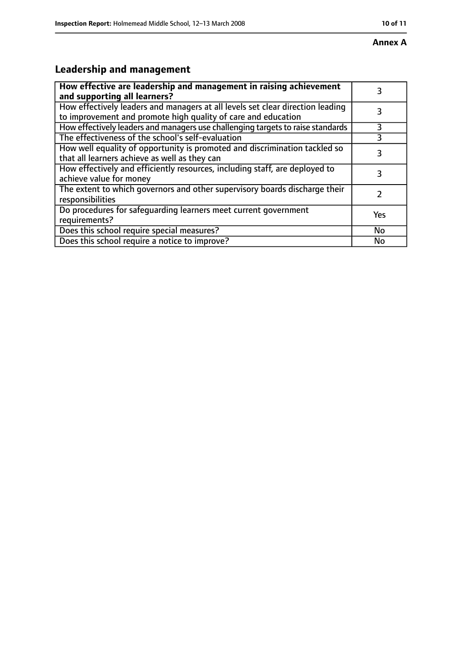## **Leadership and management**

| How effective are leadership and management in raising achievement<br>and supporting all learners?                                              |     |
|-------------------------------------------------------------------------------------------------------------------------------------------------|-----|
| How effectively leaders and managers at all levels set clear direction leading<br>to improvement and promote high quality of care and education |     |
| How effectively leaders and managers use challenging targets to raise standards                                                                 | 3   |
| The effectiveness of the school's self-evaluation                                                                                               |     |
| How well equality of opportunity is promoted and discrimination tackled so<br>that all learners achieve as well as they can                     | 3   |
| How effectively and efficiently resources, including staff, are deployed to<br>achieve value for money                                          | 3   |
| The extent to which governors and other supervisory boards discharge their<br>responsibilities                                                  |     |
| Do procedures for safequarding learners meet current government<br>requirements?                                                                | Yes |
| Does this school require special measures?                                                                                                      | No  |
| Does this school require a notice to improve?                                                                                                   | No  |